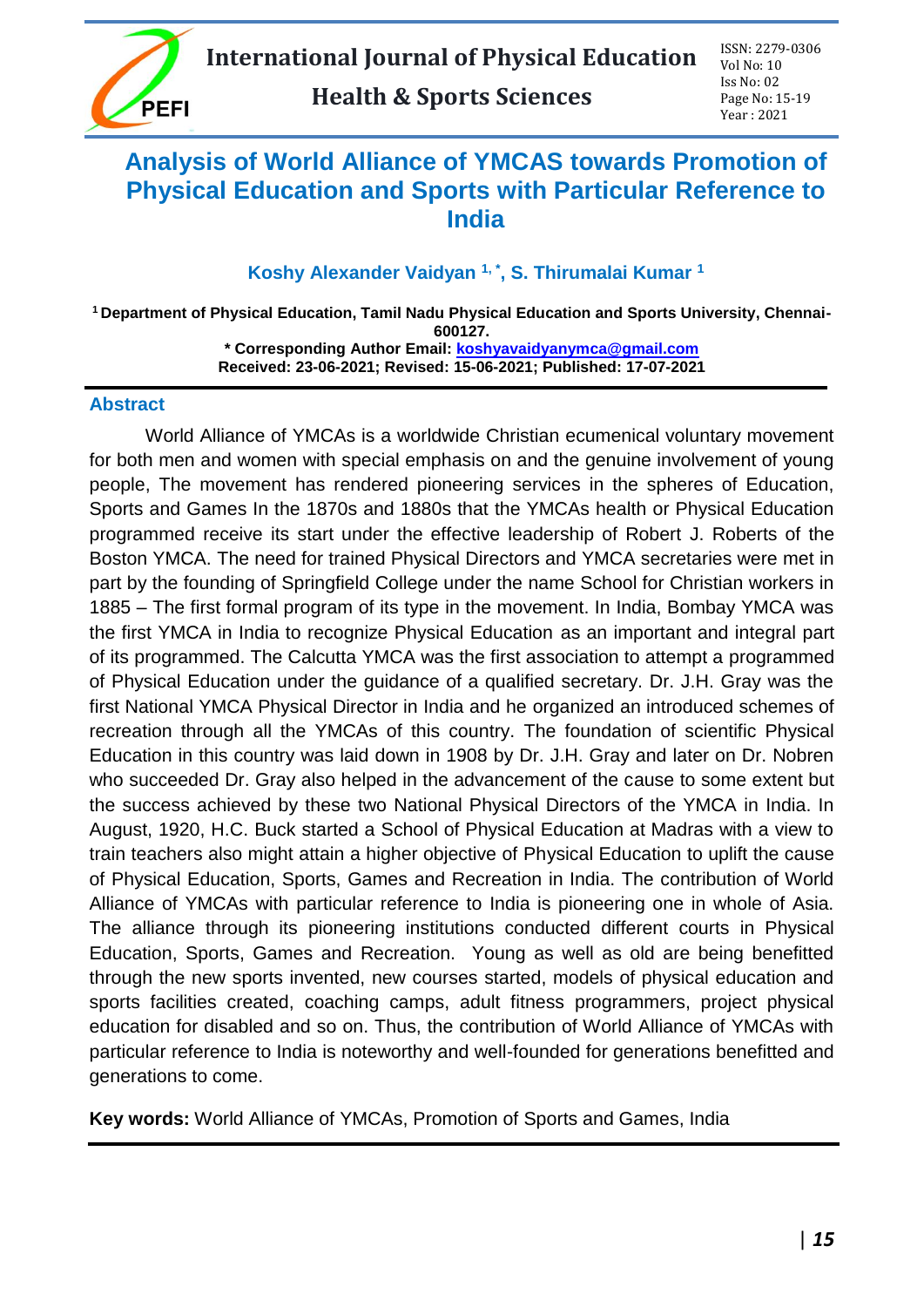# **Analysis of World Alliance of YMCAS towards Promotion of Physical Education and Sports with Particular Reference to India**

## **Koshy Alexander Vaidyan 1, \* , S. Thirumalai Kumar <sup>1</sup>**

**<sup>1</sup> Department of Physical Education, Tamil Nadu Physical Education and Sports University, Chennai-600127. \* Corresponding Author Email: [koshyavaidyanymca@gmail.com](mailto:koshyavaidyanymca@gmail.com) Received: 23-06-2021; Revised: 15-06-2021; Published: 17-07-2021**

#### **Abstract**

World Alliance of YMCAs is a worldwide Christian ecumenical voluntary movement for both men and women with special emphasis on and the genuine involvement of young people, The movement has rendered pioneering services in the spheres of Education, Sports and Games In the 1870s and 1880s that the YMCAs health or Physical Education programmed receive its start under the effective leadership of Robert J. Roberts of the Boston YMCA. The need for trained Physical Directors and YMCA secretaries were met in part by the founding of Springfield College under the name School for Christian workers in 1885 – The first formal program of its type in the movement. In India, Bombay YMCA was the first YMCA in India to recognize Physical Education as an important and integral part of its programmed. The Calcutta YMCA was the first association to attempt a programmed of Physical Education under the guidance of a qualified secretary. Dr. J.H. Gray was the first National YMCA Physical Director in India and he organized an introduced schemes of recreation through all the YMCAs of this country. The foundation of scientific Physical Education in this country was laid down in 1908 by Dr. J.H. Gray and later on Dr. Nobren who succeeded Dr. Gray also helped in the advancement of the cause to some extent but the success achieved by these two National Physical Directors of the YMCA in India. In August, 1920, H.C. Buck started a School of Physical Education at Madras with a view to train teachers also might attain a higher objective of Physical Education to uplift the cause of Physical Education, Sports, Games and Recreation in India. The contribution of World Alliance of YMCAs with particular reference to India is pioneering one in whole of Asia. The alliance through its pioneering institutions conducted different courts in Physical Education, Sports, Games and Recreation. Young as well as old are being benefitted through the new sports invented, new courses started, models of physical education and sports facilities created, coaching camps, adult fitness programmers, project physical education for disabled and so on. Thus, the contribution of World Alliance of YMCAs with particular reference to India is noteworthy and well-founded for generations benefitted and generations to come.

**Key words:** World Alliance of YMCAs, Promotion of Sports and Games, India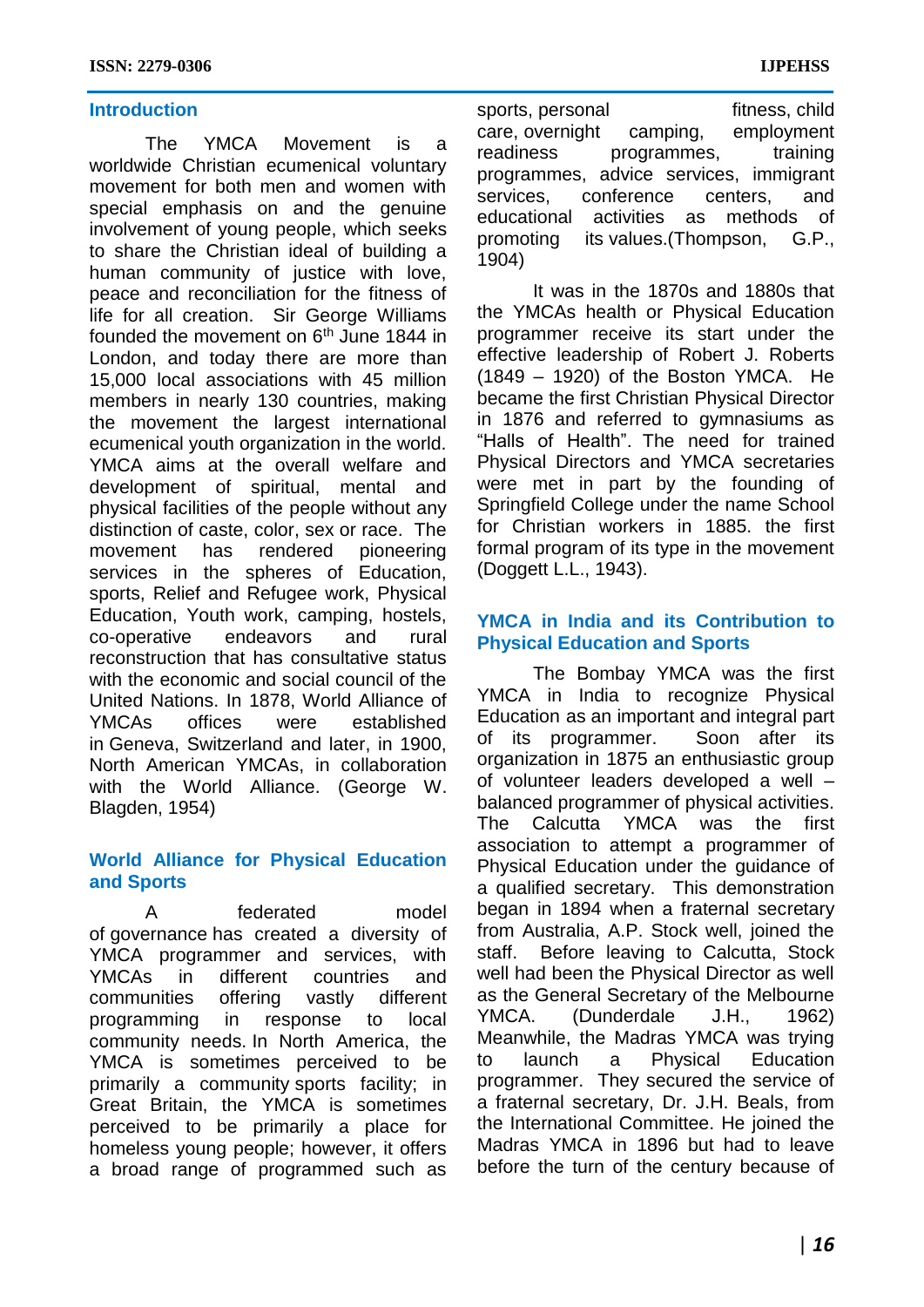#### **Introduction**

The YMCA Movement is a worldwide Christian ecumenical voluntary movement for both men and women with special emphasis on and the genuine involvement of young people, which seeks to share the Christian ideal of building a human community of justice with love, peace and reconciliation for the fitness of life for all creation. Sir George Williams founded the movement on  $6<sup>th</sup>$  June 1844 in London, and today there are more than 15,000 local associations with 45 million members in nearly 130 countries, making the movement the largest international ecumenical youth organization in the world. YMCA aims at the overall welfare and development of spiritual, mental and physical facilities of the people without any distinction of caste, color, sex or race. The movement has rendered pioneering services in the spheres of Education, sports, Relief and Refugee work, Physical Education, Youth work, camping, hostels, co-operative endeavors and rural reconstruction that has consultative status with the economic and social council of the United Nations. In 1878, World Alliance of YMCAs offices were established in Geneva, Switzerland and later, in 1900, North American YMCAs, in collaboration with the World Alliance. (George W. Blagden, 1954)

### **World Alliance for Physical Education and Sports**

A federated model of governance has created a diversity of YMCA programmer and services, with YMCAs in different countries and communities offering vastly different programming in response to local community needs. In North America, the YMCA is sometimes perceived to be primarily a community sports facility; in Great Britain, the YMCA is sometimes perceived to be primarily a place for homeless young people; however, it offers a broad range of programmed such as

sports, personal fitness, child care, overnight camping, employment readiness programmes, training programmes, advice services, immigrant services, conference centers, and educational activities as methods of promoting its values.(Thompson, G.P., 1904)

It was in the 1870s and 1880s that the YMCAs health or Physical Education programmer receive its start under the effective leadership of Robert J. Roberts (1849 – 1920) of the Boston YMCA. He became the first Christian Physical Director in 1876 and referred to gymnasiums as "Halls of Health". The need for trained Physical Directors and YMCA secretaries were met in part by the founding of Springfield College under the name School for Christian workers in 1885. the first formal program of its type in the movement (Doggett L.L., 1943).

### **YMCA in India and its Contribution to Physical Education and Sports**

The Bombay YMCA was the first YMCA in India to recognize Physical Education as an important and integral part of its programmer. Soon after its organization in 1875 an enthusiastic group of volunteer leaders developed a well – balanced programmer of physical activities. The Calcutta YMCA was the first association to attempt a programmer of Physical Education under the guidance of a qualified secretary. This demonstration began in 1894 when a fraternal secretary from Australia, A.P. Stock well, joined the staff. Before leaving to Calcutta, Stock well had been the Physical Director as well as the General Secretary of the Melbourne YMCA. (Dunderdale J.H., 1962) Meanwhile, the Madras YMCA was trying to launch a Physical Education programmer. They secured the service of a fraternal secretary, Dr. J.H. Beals, from the International Committee. He joined the Madras YMCA in 1896 but had to leave before the turn of the century because of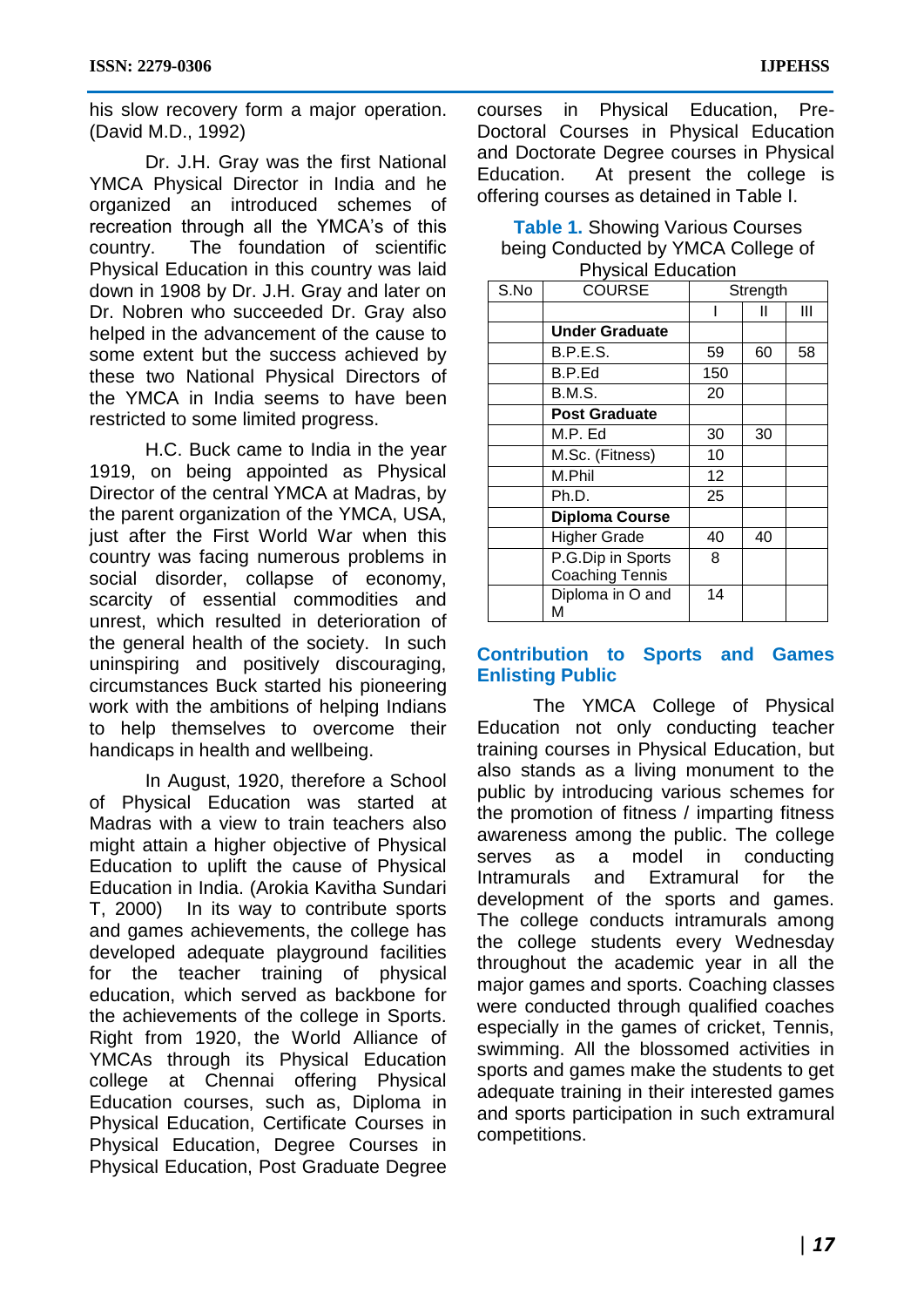his slow recovery form a major operation. (David M.D., 1992)

Dr. J.H. Gray was the first National YMCA Physical Director in India and he organized an introduced schemes of recreation through all the YMCA's of this country. The foundation of scientific Physical Education in this country was laid down in 1908 by Dr. J.H. Gray and later on Dr. Nobren who succeeded Dr. Gray also helped in the advancement of the cause to some extent but the success achieved by these two National Physical Directors of the YMCA in India seems to have been restricted to some limited progress.

H.C. Buck came to India in the year 1919, on being appointed as Physical Director of the central YMCA at Madras, by the parent organization of the YMCA, USA, just after the First World War when this country was facing numerous problems in social disorder, collapse of economy, scarcity of essential commodities and unrest, which resulted in deterioration of the general health of the society. In such uninspiring and positively discouraging, circumstances Buck started his pioneering work with the ambitions of helping Indians to help themselves to overcome their handicaps in health and wellbeing.

In August, 1920, therefore a School of Physical Education was started at Madras with a view to train teachers also might attain a higher objective of Physical Education to uplift the cause of Physical Education in India. (Arokia Kavitha Sundari T, 2000) In its way to contribute sports and games achievements, the college has developed adequate playground facilities for the teacher training of physical education, which served as backbone for the achievements of the college in Sports. Right from 1920, the World Alliance of YMCAs through its Physical Education college at Chennai offering Physical Education courses, such as, Diploma in Physical Education, Certificate Courses in Physical Education, Degree Courses in Physical Education, Post Graduate Degree

courses in Physical Education, Pre-Doctoral Courses in Physical Education and Doctorate Degree courses in Physical Education. At present the college is offering courses as detained in Table I.

**Table 1.** Showing Various Courses being Conducted by YMCA College of Physical Education

| S.No | <b>COURSE</b>          |     | Strength |    |
|------|------------------------|-----|----------|----|
|      |                        |     | Ш        | Ш  |
|      | <b>Under Graduate</b>  |     |          |    |
|      | <b>B.P.E.S.</b>        | 59  | 60       | 58 |
|      | B.P.Ed                 | 150 |          |    |
|      | <b>B.M.S.</b>          | 20  |          |    |
|      | <b>Post Graduate</b>   |     |          |    |
|      | M.P. Ed                | 30  | 30       |    |
|      | M.Sc. (Fitness)        | 10  |          |    |
|      | M.Phil                 | 12  |          |    |
|      | Ph.D.                  | 25  |          |    |
|      | <b>Diploma Course</b>  |     |          |    |
|      | <b>Higher Grade</b>    | 40  | 40       |    |
|      | P.G.Dip in Sports      | 8   |          |    |
|      | <b>Coaching Tennis</b> |     |          |    |
|      | Diploma in O and<br>М  | 14  |          |    |

### **Contribution to Sports and Games Enlisting Public**

The YMCA College of Physical Education not only conducting teacher training courses in Physical Education, but also stands as a living monument to the public by introducing various schemes for the promotion of fitness / imparting fitness awareness among the public. The college serves as a model in conducting Intramurals and Extramural for the development of the sports and games. The college conducts intramurals among the college students every Wednesday throughout the academic year in all the major games and sports. Coaching classes were conducted through qualified coaches especially in the games of cricket, Tennis, swimming. All the blossomed activities in sports and games make the students to get adequate training in their interested games and sports participation in such extramural competitions.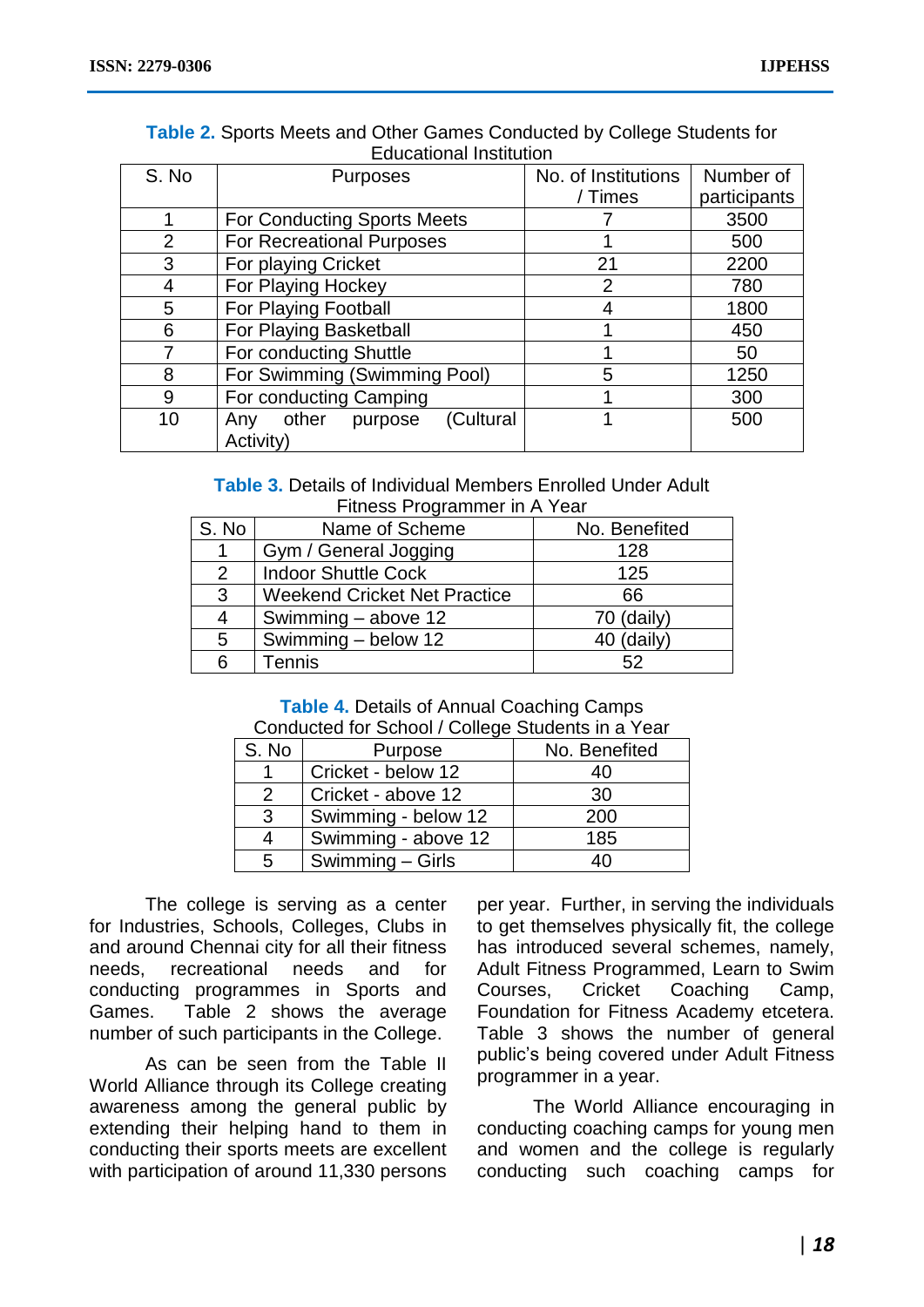| Equcational Institution |                                                   |                     |              |  |  |
|-------------------------|---------------------------------------------------|---------------------|--------------|--|--|
| S. No                   | <b>Purposes</b>                                   | No. of Institutions | Number of    |  |  |
|                         |                                                   | / Times             | participants |  |  |
|                         | <b>For Conducting Sports Meets</b>                |                     | 3500         |  |  |
| $\overline{2}$          | For Recreational Purposes                         |                     | 500          |  |  |
| 3                       | For playing Cricket                               | 21                  | 2200         |  |  |
| 4                       | For Playing Hockey                                | 2                   | 780          |  |  |
| 5                       | For Playing Football                              |                     | 1800         |  |  |
| 6                       | For Playing Basketball                            |                     | 450          |  |  |
|                         | For conducting Shuttle                            |                     | 50           |  |  |
| 8                       | For Swimming (Swimming Pool)                      | 5                   | 1250         |  |  |
| 9                       | For conducting Camping                            |                     | 300          |  |  |
| 10                      | (Cultural<br>other<br>purpose<br>Any<br>Activity) |                     | 500          |  |  |
|                         |                                                   |                     |              |  |  |

### **Table 2.** Sports Meets and Other Games Conducted by College Students for Educational Institution

### **Table 3.** Details of Individual Members Enrolled Under Adult Fitness Programmer in A Year

| S. No         | Name of Scheme                      | No. Benefited |
|---------------|-------------------------------------|---------------|
|               | Gym / General Jogging               | 128           |
| $\mathcal{P}$ | <b>Indoor Shuttle Cock</b>          | 125           |
| 3             | <b>Weekend Cricket Net Practice</b> | 66            |
| 4             | Swimming - above 12                 | $70$ (daily)  |
| 5             | Swimming - below 12                 | 40 (daily)    |
| 6             | Tennis                              | 52            |

#### **Table 4.** Details of Annual Coaching Camps Conducted for School / College Students in a Year

| pondactod for boncon, boncad bradonto in a roan |                     |               |  |  |
|-------------------------------------------------|---------------------|---------------|--|--|
| S. No                                           | Purpose             | No. Benefited |  |  |
|                                                 | Cricket - below 12  | 40            |  |  |
| 2                                               | Cricket - above 12  | 30            |  |  |
| 3                                               | Swimming - below 12 | 200           |  |  |
| 4                                               | Swimming - above 12 | 185           |  |  |
| 5                                               | Swimming - Girls    | 40            |  |  |

The college is serving as a center for Industries, Schools, Colleges, Clubs in and around Chennai city for all their fitness needs, recreational needs and for conducting programmes in Sports and Games. Table 2 shows the average number of such participants in the College.

As can be seen from the Table II World Alliance through its College creating awareness among the general public by extending their helping hand to them in conducting their sports meets are excellent with participation of around 11,330 persons

per year. Further, in serving the individuals to get themselves physically fit, the college has introduced several schemes, namely, Adult Fitness Programmed, Learn to Swim Courses, Cricket Coaching Camp, Foundation for Fitness Academy etcetera. Table 3 shows the number of general public's being covered under Adult Fitness programmer in a year.

The World Alliance encouraging in conducting coaching camps for young men and women and the college is regularly conducting such coaching camps for